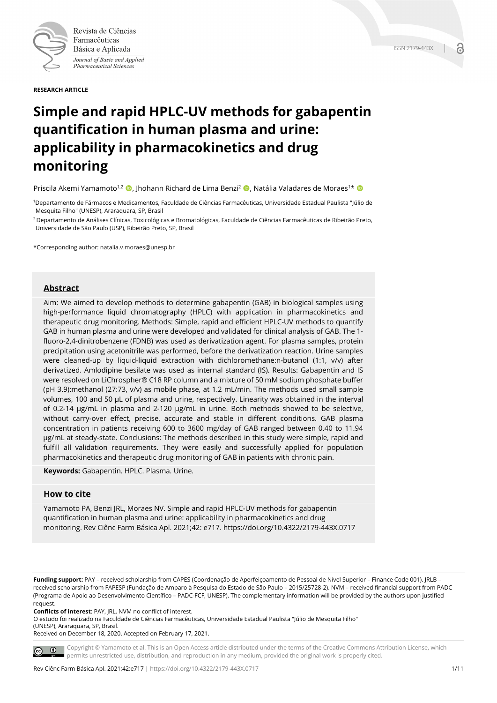

Revista de Ciências Farmacêuticas Básica e Aplicada Journal of Basic and Applied Pharmaceutical Sciences

**RESEARCH ARTICLE**

# **Simple and rapid HPLC-UV methods for gabapentin quantification in human plasma and urine: applicability in pharmacokinetics and drug monitoring**

Priscila Akemi Yamamoto<sup>1,2</sup> (D. Jhohann Richard de Lima Benzi<sup>2</sup> (D. Natália Valadares de Moraes<sup>1\*</sup> (D.

1Departamento de Fármacos e Medicamentos, Faculdade de Ciências Farmacêuticas, Universidade Estadual Paulista "Júlio de Mesquita Filho" (UNESP), Araraquara, SP, Brasil

2 Departamento de Análises Clínicas, Toxicológicas e Bromatológicas, Faculdade de Ciências Farmacêuticas de Ribeirão Preto, Universidade de São Paulo (USP), Ribeirão Preto, SP, Brasil

\*Corresponding author: natalia.v.moraes@unesp.br

## **Abstract**

Aim: We aimed to develop methods to determine gabapentin (GAB) in biological samples using high-performance liquid chromatography (HPLC) with application in pharmacokinetics and therapeutic drug monitoring. Methods: Simple, rapid and efficient HPLC-UV methods to quantify GAB in human plasma and urine were developed and validated for clinical analysis of GAB. The 1 fluoro-2,4-dinitrobenzene (FDNB) was used as derivatization agent. For plasma samples, protein precipitation using acetonitrile was performed, before the derivatization reaction. Urine samples were cleaned-up by liquid-liquid extraction with dichloromethane:n-butanol (1:1, v/v) after derivatized. Amlodipine besilate was used as internal standard (IS). Results: Gabapentin and IS were resolved on LiChrospher® C18 RP column and a mixture of 50 mM sodium phosphate buffer (pH 3.9):methanol (27:73, v/v) as mobile phase, at 1.2 mL/min. The methods used small sample volumes, 100 and 50 µL of plasma and urine, respectively. Linearity was obtained in the interval of 0.2-14 µg/mL in plasma and 2-120 µg/mL in urine. Both methods showed to be selective, without carry-over effect, precise, accurate and stable in different conditions. GAB plasma concentration in patients receiving 600 to 3600 mg/day of GAB ranged between 0.40 to 11.94 µg/mL at steady-state. Conclusions: The methods described in this study were simple, rapid and fulfill all validation requirements. They were easily and successfully applied for population pharmacokinetics and therapeutic drug monitoring of GAB in patients with chronic pain.

**Keywords:** Gabapentin. HPLC. Plasma. Urine.

#### **How to cite**

Yamamoto PA, Benzi JRL, Moraes NV. Simple and rapid HPLC-UV methods for gabapentin quantification in human plasma and urine: applicability in pharmacokinetics and drug monitoring. Rev Ciênc Farm Básica Apl. 2021;42: e717. https://doi.org/10.4322/2179-443X.0717

**Funding support:** PAY – received scholarship from CAPES (Coordenação de Aperfeiçoamento de Pessoal de Nível Superior – Finance Code 001). JRLB – received scholarship from FAPESP (Fundação de Amparo à Pesquisa do Estado de São Paulo – 2015/25728-2). NVM – received financial support from PADC (Programa de Apoio ao Desenvolvimento Científico – PADC-FCF, UNESP). The complementary information will be provided by the authors upon justified request.

**Conflicts of interest**: PAY, JRL, NVM no conflict of interest.

O estudo foi realizado na Faculdade de Ciências Farmacêuticas, Universidade Estadual Paulista "Júlio de Mesquita Filho" (UNESP), Araraquara, SP, Brasil.

Received on December 18, 2020. Accepted on February 17, 2021.

Copyright © Yamamoto et al. This is an Open Access article distributed under the terms of the Creative Commons Attribution License, which  $\circledcirc$ permits unrestricted use, distribution, and reproduction in any medium, provided the original work is properly cited.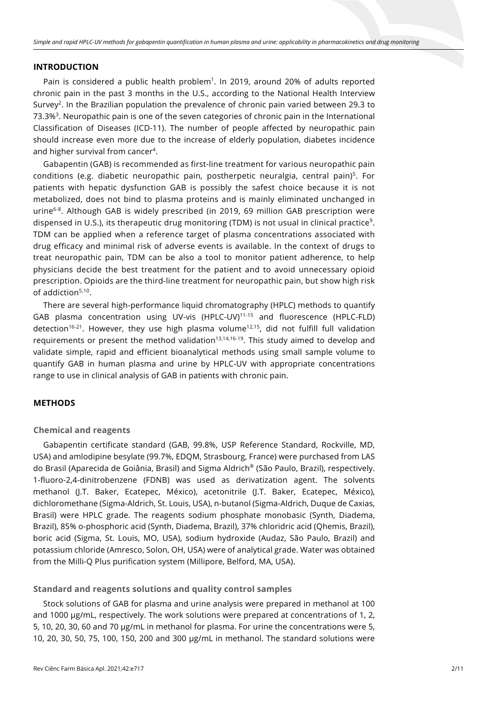#### **INTRODUCTION**

Pain is considered a public health problem<sup>1</sup>. In 2019, around 20% of adults reported chronic pain in the past 3 months in the U.S., according to the National Health Interview Survey<sup>2</sup>. In the Brazilian population the prevalence of chronic pain varied between 29.3 to 73.3%3. Neuropathic pain is one of the seven categories of chronic pain in the International Classification of Diseases (ICD-11). The number of people affected by neuropathic pain should increase even more due to the increase of elderly population, diabetes incidence and higher survival from cancer4.

Gabapentin (GAB) is recommended as first-line treatment for various neuropathic pain conditions (e.g. diabetic neuropathic pain, postherpetic neuralgia, central pain)<sup>5</sup>. For patients with hepatic dysfunction GAB is possibly the safest choice because it is not metabolized, does not bind to plasma proteins and is mainly eliminated unchanged in urine<sup>6-8</sup>. Although GAB is widely prescribed (in 2019, 69 million GAB prescription were dispensed in U.S.), its therapeutic drug monitoring (TDM) is not usual in clinical practice<sup>9</sup>. TDM can be applied when a reference target of plasma concentrations associated with drug efficacy and minimal risk of adverse events is available. In the context of drugs to treat neuropathic pain, TDM can be also a tool to monitor patient adherence, to help physicians decide the best treatment for the patient and to avoid unnecessary opioid prescription. Opioids are the third-line treatment for neuropathic pain, but show high risk of addiction $5,10$ .

There are several high-performance liquid chromatography (HPLC) methods to quantify GAB plasma concentration using UV-vis (HPLC-UV)11-15 and fluorescence (HPLC-FLD) detection<sup>16-21</sup>. However, they use high plasma volume<sup>12,15</sup>, did not fulfill full validation requirements or present the method validation<sup>13,14,16-19</sup>. This study aimed to develop and validate simple, rapid and efficient bioanalytical methods using small sample volume to quantify GAB in human plasma and urine by HPLC-UV with appropriate concentrations range to use in clinical analysis of GAB in patients with chronic pain.

#### **METHODS**

#### **Chemical and reagents**

Gabapentin certificate standard (GAB, 99.8%, USP Reference Standard, Rockville, MD, USA) and amlodipine besylate (99.7%, EDQM, Strasbourg, France) were purchased from LAS do Brasil (Aparecida de Goiânia, Brasil) and Sigma Aldrich® (São Paulo, Brazil), respectively. 1-fluoro-2,4-dinitrobenzene (FDNB) was used as derivatization agent. The solvents methanol (J.T. Baker, Ecatepec, México), acetonitrile (J.T. Baker, Ecatepec, México), dichloromethane (Sigma-Aldrich, St. Louis, USA), n-butanol (Sigma-Aldrich, Duque de Caxias, Brasil) were HPLC grade. The reagents sodium phosphate monobasic (Synth, Diadema, Brazil), 85% o-phosphoric acid (Synth, Diadema, Brazil), 37% chloridric acid (Qhemis, Brazil), boric acid (Sigma, St. Louis, MO, USA), sodium hydroxide (Audaz, São Paulo, Brazil) and potassium chloride (Amresco, Solon, OH, USA) were of analytical grade. Water was obtained from the Milli-Q Plus purification system (Millipore, Belford, MA, USA).

## **Standard and reagents solutions and quality control samples**

Stock solutions of GAB for plasma and urine analysis were prepared in methanol at 100 and 1000 µg/mL, respectively. The work solutions were prepared at concentrations of 1, 2, 5, 10, 20, 30, 60 and 70 µg/mL in methanol for plasma. For urine the concentrations were 5, 10, 20, 30, 50, 75, 100, 150, 200 and 300 µg/mL in methanol. The standard solutions were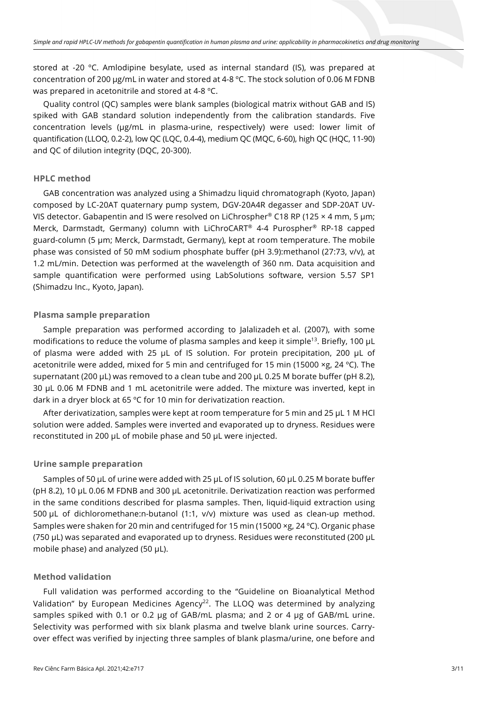stored at -20 ºC. Amlodipine besylate, used as internal standard (IS), was prepared at concentration of 200 µg/mL in water and stored at 4-8 ºC. The stock solution of 0.06 M FDNB was prepared in acetonitrile and stored at 4-8 ºC.

Quality control (QC) samples were blank samples (biological matrix without GAB and IS) spiked with GAB standard solution independently from the calibration standards. Five concentration levels (µg/mL in plasma-urine, respectively) were used: lower limit of quantification (LLOQ, 0.2-2), low QC (LQC, 0.4-4), medium QC (MQC, 6-60), high QC (HQC, 11-90) and QC of dilution integrity (DQC, 20-300).

## **HPLC method**

GAB concentration was analyzed using a Shimadzu liquid chromatograph (Kyoto, Japan) composed by LC-20AT quaternary pump system, DGV-20A4R degasser and SDP-20AT UV-VIS detector. Gabapentin and IS were resolved on LiChrospher® C18 RP (125  $\times$  4 mm, 5 µm; Merck, Darmstadt, Germany) column with LiChroCART® 4-4 Purospher® RP-18 capped guard-column (5 µm; Merck, Darmstadt, Germany), kept at room temperature. The mobile phase was consisted of 50 mM sodium phosphate buffer (pH 3.9):methanol (27:73, v/v), at 1.2 mL/min. Detection was performed at the wavelength of 360 nm. Data acquisition and sample quantification were performed using LabSolutions software, version 5.57 SP1 (Shimadzu Inc., Kyoto, Japan).

## **Plasma sample preparation**

Sample preparation was performed according to Jalalizadeh et al. (2007), with some modifications to reduce the volume of plasma samples and keep it simple<sup>13</sup>. Briefly, 100  $\mu$ L of plasma were added with 25 µL of IS solution. For protein precipitation, 200 µL of acetonitrile were added, mixed for 5 min and centrifuged for 15 min (15000 ×g, 24 °C). The supernatant (200 µL) was removed to a clean tube and 200 µL 0.25 M borate buffer (pH 8.2), 30 µL 0.06 M FDNB and 1 mL acetonitrile were added. The mixture was inverted, kept in dark in a dryer block at 65 ºC for 10 min for derivatization reaction.

After derivatization, samples were kept at room temperature for 5 min and 25  $\mu$ L 1 M HCl solution were added. Samples were inverted and evaporated up to dryness. Residues were reconstituted in 200 µL of mobile phase and 50 µL were injected.

## **Urine sample preparation**

Samples of 50 µL of urine were added with 25 µL of IS solution, 60 µL 0.25 M borate buffer (pH 8.2), 10 µL 0.06 M FDNB and 300 µL acetonitrile. Derivatization reaction was performed in the same conditions described for plasma samples. Then, liquid-liquid extraction using 500 µL of dichloromethane:n-butanol (1:1, v/v) mixture was used as clean-up method. Samples were shaken for 20 min and centrifuged for 15 min (15000 ×g, 24 ºC). Organic phase (750 µL) was separated and evaporated up to dryness. Residues were reconstituted (200 µL mobile phase) and analyzed (50  $\mu$ L).

## **Method validation**

Full validation was performed according to the "Guideline on Bioanalytical Method Validation" by European Medicines Agency<sup>22</sup>. The LLOQ was determined by analyzing samples spiked with 0.1 or 0.2 µg of GAB/mL plasma; and 2 or 4 µg of GAB/mL urine. Selectivity was performed with six blank plasma and twelve blank urine sources. Carryover effect was verified by injecting three samples of blank plasma/urine, one before and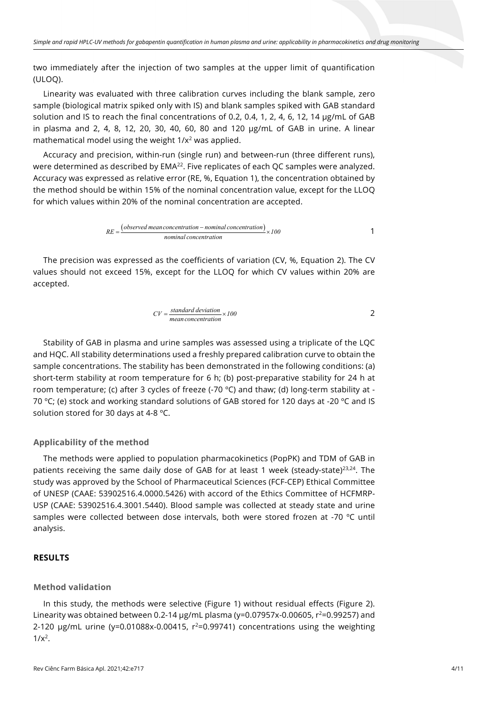two immediately after the injection of two samples at the upper limit of quantification (ULOQ).

Linearity was evaluated with three calibration curves including the blank sample, zero sample (biological matrix spiked only with IS) and blank samples spiked with GAB standard solution and IS to reach the final concentrations of 0.2, 0.4, 1, 2, 4, 6, 12, 14 µg/mL of GAB in plasma and 2, 4, 8, 12, 20, 30, 40, 60, 80 and 120 µg/mL of GAB in urine. A linear mathematical model using the weight 1/x<sup>2</sup> was applied.

Accuracy and precision, within-run (single run) and between-run (three different runs), were determined as described by EMA<sup>22</sup>. Five replicates of each QC samples were analyzed. Accuracy was expressed as relative error (RE, %, Equation 1), the concentration obtained by the method should be within 15% of the nominal concentration value, except for the LLOQ for which values within 20% of the nominal concentration are accepted.

$$
RE = \frac{(observed \ mean \ concentration - \ nominal \ concentration)}{nominal \ concentration} \times 100
$$

The precision was expressed as the coefficients of variation (CV, %, Equation 2). The CV values should not exceed 15%, except for the LLOQ for which CV values within 20% are accepted.

$$
CV = \frac{\text{standard deviation}}{\text{mean concentration} \times 100} \times 100
$$

Stability of GAB in plasma and urine samples was assessed using a triplicate of the LQC and HQC. All stability determinations used a freshly prepared calibration curve to obtain the sample concentrations. The stability has been demonstrated in the following conditions: (a) short-term stability at room temperature for 6 h; (b) post-preparative stability for 24 h at room temperature; (c) after 3 cycles of freeze (-70 °C) and thaw; (d) long-term stability at -70 °C; (e) stock and working standard solutions of GAB stored for 120 days at -20 °C and IS solution stored for 30 days at 4-8 ºC.

## **Applicability of the method**

The methods were applied to population pharmacokinetics (PopPK) and TDM of GAB in patients receiving the same daily dose of GAB for at least 1 week (steady-state) $23,24$ . The study was approved by the School of Pharmaceutical Sciences (FCF-CEP) Ethical Committee of UNESP (CAAE: 53902516.4.0000.5426) with accord of the Ethics Committee of HCFMRP-USP (CAAE: 53902516.4.3001.5440). Blood sample was collected at steady state and urine samples were collected between dose intervals, both were stored frozen at -70 °C until analysis.

# **RESULTS**

## **Method validation**

In this study, the methods were selective (Figure 1) without residual effects (Figure 2). Linearity was obtained between 0.2-14  $\mu$ g/mL plasma (y=0.07957x-0.00605,  $r^2$ =0.99257) and 2-120  $\mu$ g/mL urine (y=0.01088x-0.00415,  $r^2$ =0.99741) concentrations using the weighting  $1/x^2$ .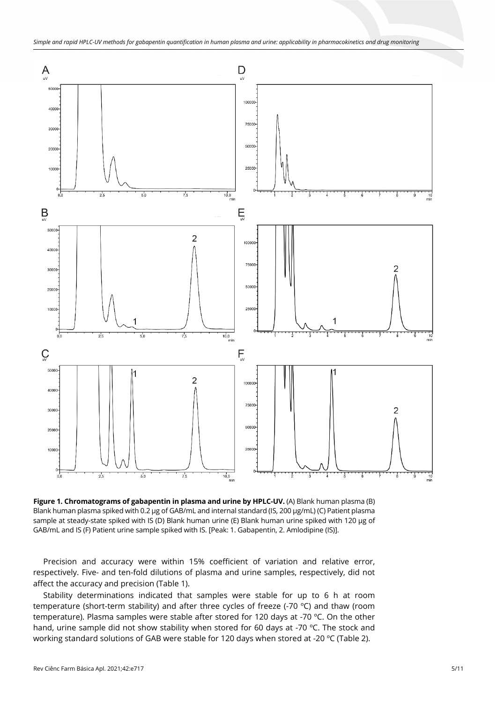

**Figure 1. Chromatograms of gabapentin in plasma and urine by HPLC-UV.** (A) Blank human plasma (B) Blank human plasma spiked with 0.2 µg of GAB/mL and internal standard (IS, 200 µg/mL) (C) Patient plasma sample at steady-state spiked with IS (D) Blank human urine (E) Blank human urine spiked with 120 µg of GAB/mL and IS (F) Patient urine sample spiked with IS. [Peak: 1. Gabapentin, 2. Amlodipine (IS)].

Precision and accuracy were within 15% coefficient of variation and relative error, respectively. Five- and ten-fold dilutions of plasma and urine samples, respectively, did not affect the accuracy and precision (Table 1).

Stability determinations indicated that samples were stable for up to 6 h at room temperature (short-term stability) and after three cycles of freeze (-70 °C) and thaw (room temperature). Plasma samples were stable after stored for 120 days at -70 ºC. On the other hand, urine sample did not show stability when stored for 60 days at -70 °C. The stock and working standard solutions of GAB were stable for 120 days when stored at -20 ºC (Table 2).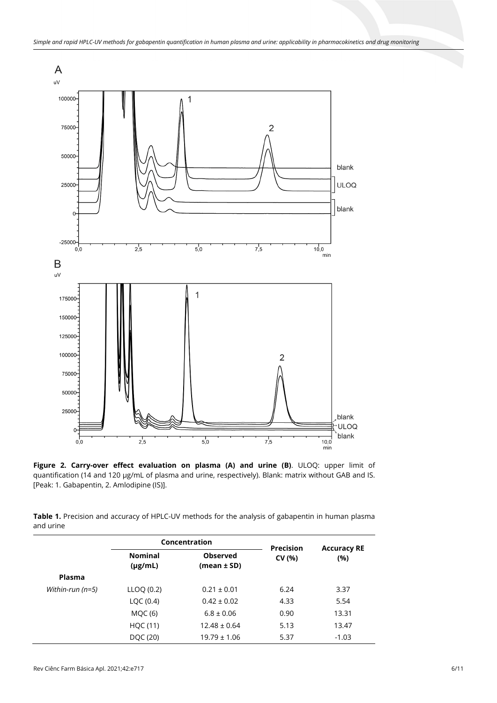

**Figure 2. Carry-over effect evaluation on plasma (A) and urine (B)**. ULOQ: upper limit of quantification (14 and 120 µg/mL of plasma and urine, respectively). Blank: matrix without GAB and IS. [Peak: 1. Gabapentin, 2. Amlodipine (IS)].

**Table 1.** Precision and accuracy of HPLC-UV methods for the analysis of gabapentin in human plasma and urine

|                  | Concentration                  |                                    | <b>Precision</b> | <b>Accuracy RE</b> |
|------------------|--------------------------------|------------------------------------|------------------|--------------------|
|                  | <b>Nominal</b><br>$(\mu g/mL)$ | <b>Observed</b><br>$(mean \pm SD)$ | CV (%)           | (%)                |
| <b>Plasma</b>    |                                |                                    |                  |                    |
| Within-run (n=5) | LLOO (0.2)                     | $0.21 \pm 0.01$                    | 6.24             | 3.37               |
|                  | LQC $(0.4)$                    | $0.42 \pm 0.02$                    | 4.33             | 5.54               |
|                  | <b>MOC (6)</b>                 | $6.8 \pm 0.06$                     | 0.90             | 13.31              |
|                  | HQC (11)                       | $12.48 \pm 0.64$                   | 5.13             | 13.47              |
|                  | DQC (20)                       | $19.79 \pm 1.06$                   | 5.37             | $-1.03$            |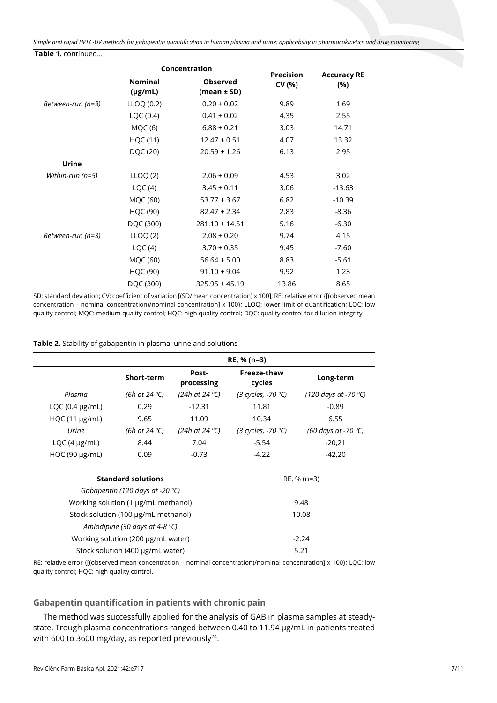*Simple and rapid HPLC-UV methods for gabapentin quantification in human plasma and urine: applicability in pharmacokinetics and drug monitoring* **Table 1.** continued...

|                   | Concentration                  |                                | <b>Precision</b> |                           |
|-------------------|--------------------------------|--------------------------------|------------------|---------------------------|
|                   | <b>Nominal</b><br>$(\mu g/mL)$ | <b>Observed</b><br>(mean ± SD) | CV (%)           | <b>Accuracy RE</b><br>(%) |
| Between-run (n=3) | LLOQ(0.2)                      | $0.20 \pm 0.02$                | 9.89             | 1.69                      |
|                   | LQC (0.4)                      | $0.41 \pm 0.02$                | 4.35             | 2.55                      |
|                   | MQC(6)                         | $6.88 \pm 0.21$                | 3.03             | 14.71                     |
|                   | HQC (11)                       | $12.47 \pm 0.51$               | 4.07             | 13.32                     |
|                   | DQC (20)                       | $20.59 \pm 1.26$               | 6.13             | 2.95                      |
| Urine             |                                |                                |                  |                           |
| Within-run (n=5)  | LLOQ(2)                        | $2.06 \pm 0.09$                | 4.53             | 3.02                      |
|                   | LQC(4)                         | $3.45 \pm 0.11$                | 3.06             | $-13.63$                  |
|                   | MQC (60)                       | $53.77 \pm 3.67$               | 6.82             | $-10.39$                  |
|                   | <b>HQC (90)</b>                | $82.47 \pm 2.34$               | 2.83             | $-8.36$                   |
|                   | DQC (300)                      | $281.10 \pm 14.51$             | 5.16             | $-6.30$                   |
| Between-run (n=3) | LLOQ(2)                        | $2.08 \pm 0.20$                | 9.74             | 4.15                      |
|                   | LQC(4)                         | $3.70 \pm 0.35$                | 9.45             | $-7.60$                   |
|                   | MQC (60)                       | $56.64 \pm 5.00$               | 8.83             | $-5.61$                   |
|                   | HQC (90)                       | $91.10 \pm 9.04$               | 9.92             | 1.23                      |
|                   | DQC (300)                      | $325.95 \pm 45.19$             | 13.86            | 8.65                      |

SD: standard deviation; CV: coefficient of variation [(SD/mean concentration) x 100]; RE: relative error {[(observed mean concentration – nominal concentration)/nominal concentration] x 100}; LLOQ: lower limit of quantification; LQC: low quality control; MQC: medium quality control; HQC: high quality control; DQC: quality control for dilution integrity.

**Table 2.** Stability of gabapentin in plasma, urine and solutions

|                                    | RE, % (n=3)                         |                     |                              |                                |  |  |
|------------------------------------|-------------------------------------|---------------------|------------------------------|--------------------------------|--|--|
|                                    | Short-term                          | Post-<br>processing | Freeze-thaw<br>cycles        | Long-term                      |  |  |
| Plasma                             | (6h at 24 °C)                       | (24h at 24 °C)      | (3 cycles, -70 $^{\circ}$ C) | (120 days at -70 $^{\circ}$ C) |  |  |
| LQC $(0.4 \mu g/mL)$               | 0.29                                | $-12.31$            | 11.81                        | $-0.89$                        |  |  |
| $HQC(11 \mu g/mL)$                 | 9.65                                | 11.09               | 10.34                        | 6.55                           |  |  |
| Urine                              | (6h at 24 °C)                       | (24h at 24 °C)      | (3 cycles, -70 °C)           | (60 days at -70 °C)            |  |  |
| $LQC(4 \mu g/mL)$                  | 8.44                                | 7.04                | $-5.54$                      | $-20,21$                       |  |  |
| $HQC$ (90 $\mu$ g/mL)              | 0.09                                | $-0.73$             | $-4.22$                      | $-42,20$                       |  |  |
|                                    | <b>Standard solutions</b>           |                     |                              | RE, % (n=3)                    |  |  |
| Gabapentin (120 days at -20 °C)    |                                     |                     |                              |                                |  |  |
|                                    | Working solution (1 µg/mL methanol) |                     |                              | 9.48                           |  |  |
|                                    | Stock solution (100 µg/mL methanol) |                     |                              | 10.08                          |  |  |
| Amlodipine (30 days at 4-8 °C)     |                                     |                     |                              |                                |  |  |
| Working solution (200 µg/mL water) |                                     |                     | $-2.24$                      |                                |  |  |
| Stock solution (400 µg/mL water)   |                                     |                     | 5.21                         |                                |  |  |

RE: relative error {[(observed mean concentration – nominal concentration)/nominal concentration] x 100}; LQC: low quality control; HQC: high quality control.

# **Gabapentin quantification in patients with chronic pain**

The method was successfully applied for the analysis of GAB in plasma samples at steadystate. Trough plasma concentrations ranged between 0.40 to 11.94 µg/mL in patients treated with 600 to 3600 mg/day, as reported previously $^{24}$ .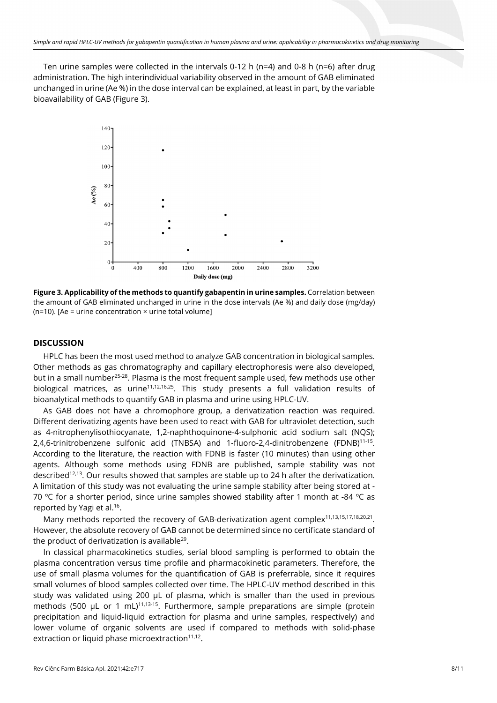Ten urine samples were collected in the intervals 0-12 h ( $n=4$ ) and 0-8 h ( $n=6$ ) after drug administration. The high interindividual variability observed in the amount of GAB eliminated unchanged in urine (Ae %) in the dose interval can be explained, at least in part, by the variable bioavailability of GAB (Figure 3).



**Figure 3. Applicability of the methods to quantify gabapentin in urine samples.** Correlation between the amount of GAB eliminated unchanged in urine in the dose intervals (Ae %) and daily dose (mg/day) ( $n=10$ ). [Ae = urine concentration  $\times$  urine total volume]

# **DISCUSSION**

HPLC has been the most used method to analyze GAB concentration in biological samples. Other methods as gas chromatography and capillary electrophoresis were also developed, but in a small number<sup>25-28</sup>. Plasma is the most frequent sample used, few methods use other biological matrices, as urine<sup>11,12,16,25</sup>. This study presents a full validation results of bioanalytical methods to quantify GAB in plasma and urine using HPLC-UV.

As GAB does not have a chromophore group, a derivatization reaction was required. Different derivatizing agents have been used to react with GAB for ultraviolet detection, such as 4-nitrophenylisothiocyanate, 1,2-naphthoquinone-4-sulphonic acid sodium salt (NQS); 2,4,6-trinitrobenzene sulfonic acid (TNBSA) and 1-fluoro-2,4-dinitrobenzene (FDNB)11-15. According to the literature, the reaction with FDNB is faster (10 minutes) than using other agents. Although some methods using FDNB are published, sample stability was not described<sup>12,13</sup>. Our results showed that samples are stable up to 24 h after the derivatization. A limitation of this study was not evaluating the urine sample stability after being stored at - 70 °C for a shorter period, since urine samples showed stability after 1 month at -84 °C as reported by Yagi et al.16.

Many methods reported the recovery of GAB-derivatization agent complex<sup>11,13,15,17,18,20,21</sup>. However, the absolute recovery of GAB cannot be determined since no certificate standard of the product of derivatization is available<sup>29</sup>.

In classical pharmacokinetics studies, serial blood sampling is performed to obtain the plasma concentration versus time profile and pharmacokinetic parameters. Therefore, the use of small plasma volumes for the quantification of GAB is preferrable, since it requires small volumes of blood samples collected over time. The HPLC-UV method described in this study was validated using 200 µL of plasma, which is smaller than the used in previous methods (500  $\mu$ L or 1 mL)<sup>11,13-15</sup>. Furthermore, sample preparations are simple (protein precipitation and liquid-liquid extraction for plasma and urine samples, respectively) and lower volume of organic solvents are used if compared to methods with solid-phase extraction or liquid phase microextraction $11,12$ .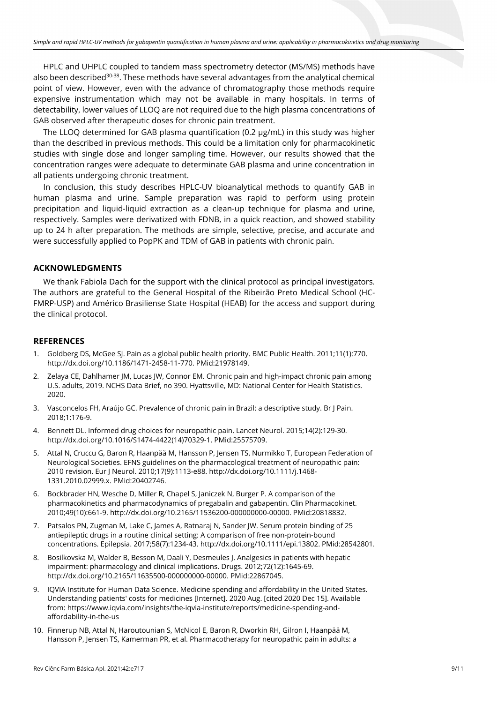HPLC and UHPLC coupled to tandem mass spectrometry detector (MS/MS) methods have also been described<sup>30-38</sup>. These methods have several advantages from the analytical chemical point of view. However, even with the advance of chromatography those methods require expensive instrumentation which may not be available in many hospitals. In terms of detectability, lower values of LLOQ are not required due to the high plasma concentrations of GAB observed after therapeutic doses for chronic pain treatment.

The LLOQ determined for GAB plasma quantification (0.2 µg/mL) in this study was higher than the described in previous methods. This could be a limitation only for pharmacokinetic studies with single dose and longer sampling time. However, our results showed that the concentration ranges were adequate to determinate GAB plasma and urine concentration in all patients undergoing chronic treatment.

In conclusion, this study describes HPLC-UV bioanalytical methods to quantify GAB in human plasma and urine. Sample preparation was rapid to perform using protein precipitation and liquid-liquid extraction as a clean-up technique for plasma and urine, respectively. Samples were derivatized with FDNB, in a quick reaction, and showed stability up to 24 h after preparation. The methods are simple, selective, precise, and accurate and were successfully applied to PopPK and TDM of GAB in patients with chronic pain.

#### **ACKNOWLEDGMENTS**

We thank Fabiola Dach for the support with the clinical protocol as principal investigators. The authors are grateful to the General Hospital of the Ribeirão Preto Medical School (HC-FMRP-USP) and Américo Brasiliense State Hospital (HEAB) for the access and support during the clinical protocol.

#### **REFERENCES**

- 1. Goldberg DS, McGee SJ. Pain as a global public health priority. BMC Public Health. 2011;11(1):770. [http://dx.doi.org/10.1186/1471-2458-11-770.](https://doi.org/10.1186/1471-2458-11-770) [PMid:21978149.](https://www.ncbi.nlm.nih.gov/entrez/query.fcgi?cmd=Retrieve&db=PubMed&list_uids=21978149&dopt=Abstract)
- 2. Zelaya CE, Dahlhamer JM, Lucas JW, Connor EM. Chronic pain and high-impact chronic pain among U.S. adults, 2019. NCHS Data Brief, no 390. Hyattsville, MD: National Center for Health Statistics. 2020.
- 3. Vasconcelos FH, Araújo GC. Prevalence of chronic pain in Brazil: a descriptive study. Br J Pain. 2018;1:176-9.
- 4. Bennett DL. Informed drug choices for neuropathic pain. Lancet Neurol. 2015;14(2):129-30. [http://dx.doi.org/10.1016/S1474-4422\(14\)70329-1.](https://doi.org/10.1016/S1474-4422(14)70329-1) [PMid:25575709.](https://www.ncbi.nlm.nih.gov/entrez/query.fcgi?cmd=Retrieve&db=PubMed&list_uids=25575709&dopt=Abstract)
- 5. Attal N, Cruccu G, Baron R, Haanpää M, Hansson P, Jensen TS, Nurmikko T, European Federation of Neurological Societies. EFNS guidelines on the pharmacological treatment of neuropathic pain: 2010 revision. Eur J Neurol. 2010;17(9):1113-e88[. http://dx.doi.org/10.1111/j.1468-](https://doi.org/10.1111/j.1468-1331.2010.02999.x) [1331.2010.02999.x.](https://doi.org/10.1111/j.1468-1331.2010.02999.x) [PMid:20402746.](https://www.ncbi.nlm.nih.gov/entrez/query.fcgi?cmd=Retrieve&db=PubMed&list_uids=20402746&dopt=Abstract)
- 6. Bockbrader HN, Wesche D, Miller R, Chapel S, Janiczek N, Burger P. A comparison of the pharmacokinetics and pharmacodynamics of pregabalin and gabapentin. Clin Pharmacokinet. 2010;49(10):661-9. [http://dx.doi.org/10.2165/11536200-000000000-00000.](https://doi.org/10.2165/11536200-000000000-00000) [PMid:20818832.](https://www.ncbi.nlm.nih.gov/entrez/query.fcgi?cmd=Retrieve&db=PubMed&list_uids=20818832&dopt=Abstract)
- 7. Patsalos PN, Zugman M, Lake C, James A, Ratnaraj N, Sander JW. Serum protein binding of 25 antiepileptic drugs in a routine clinical setting: A comparison of free non-protein-bound concentrations. Epilepsia. 2017;58(7):1234-43. [http://dx.doi.org/10.1111/epi.13802.](https://doi.org/10.1111/epi.13802) [PMid:28542801.](https://www.ncbi.nlm.nih.gov/entrez/query.fcgi?cmd=Retrieve&db=PubMed&list_uids=28542801&dopt=Abstract)
- 8. Bosilkovska M, Walder B, Besson M, Daali Y, Desmeules J. Analgesics in patients with hepatic impairment: pharmacology and clinical implications. Drugs. 2012;72(12):1645-69. [http://dx.doi.org/10.2165/11635500-000000000-00000.](https://doi.org/10.2165/11635500-000000000-00000) [PMid:22867045.](https://www.ncbi.nlm.nih.gov/entrez/query.fcgi?cmd=Retrieve&db=PubMed&list_uids=22867045&dopt=Abstract)
- 9. IQVIA Institute for Human Data Science. Medicine spending and affordability in the United States. Understanding patients' costs for medicines [Internet]. 2020 Aug. [cited 2020 Dec 15]. Available from: https://www.iqvia.com/insights/the-iqvia-institute/reports/medicine-spending-andaffordability-in-the-us
- 10. Finnerup NB, Attal N, Haroutounian S, McNicol E, Baron R, Dworkin RH, Gilron I, Haanpää M, Hansson P, Jensen TS, Kamerman PR, et al. Pharmacotherapy for neuropathic pain in adults: a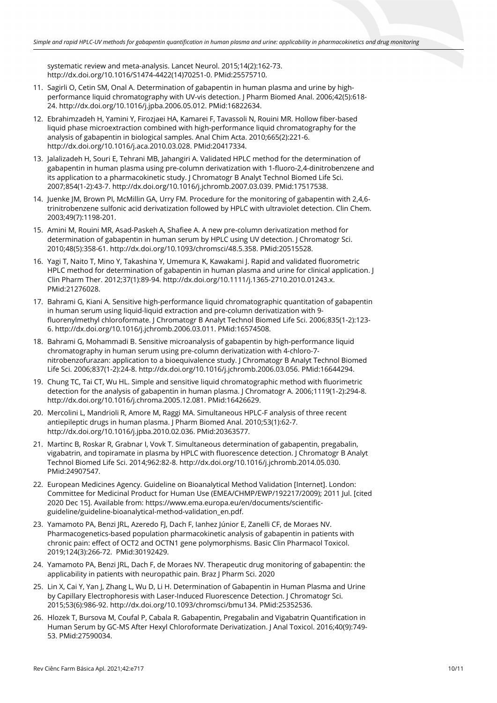systematic review and meta-analysis. Lancet Neurol. 2015;14(2):162-73. [http://dx.doi.org/10.1016/S1474-4422\(14\)70251-0.](https://doi.org/10.1016/S1474-4422(14)70251-0) [PMid:25575710.](https://www.ncbi.nlm.nih.gov/entrez/query.fcgi?cmd=Retrieve&db=PubMed&list_uids=25575710&dopt=Abstract)

- 11. Sagirli O, Cetin SM, Onal A. Determination of gabapentin in human plasma and urine by highperformance liquid chromatography with UV-vis detection. J Pharm Biomed Anal. 2006;42(5):618- 24. [http://dx.doi.org/10.1016/j.jpba.2006.05.012.](https://doi.org/10.1016/j.jpba.2006.05.012) [PMid:16822634.](https://www.ncbi.nlm.nih.gov/entrez/query.fcgi?cmd=Retrieve&db=PubMed&list_uids=16822634&dopt=Abstract)
- 12. Ebrahimzadeh H, Yamini Y, Firozjaei HA, Kamarei F, Tavassoli N, Rouini MR. Hollow fiber-based liquid phase microextraction combined with high-performance liquid chromatography for the analysis of gabapentin in biological samples. Anal Chim Acta. 2010;665(2):221-6. [http://dx.doi.org/10.1016/j.aca.2010.03.028.](https://doi.org/10.1016/j.aca.2010.03.028) [PMid:20417334.](https://www.ncbi.nlm.nih.gov/entrez/query.fcgi?cmd=Retrieve&db=PubMed&list_uids=20417334&dopt=Abstract)
- 13. Jalalizadeh H, Souri E, Tehrani MB, Jahangiri A. Validated HPLC method for the determination of gabapentin in human plasma using pre-column derivatization with 1-fluoro-2,4-dinitrobenzene and its application to a pharmacokinetic study. J Chromatogr B Analyt Technol Biomed Life Sci. 2007;854(1-2):43-7[. http://dx.doi.org/10.1016/j.jchromb.2007.03.039.](https://doi.org/10.1016/j.jchromb.2007.03.039) [PMid:17517538.](https://www.ncbi.nlm.nih.gov/entrez/query.fcgi?cmd=Retrieve&db=PubMed&list_uids=17517538&dopt=Abstract)
- 14. Juenke JM, Brown PI, McMillin GA, Urry FM. Procedure for the monitoring of gabapentin with 2,4,6 trinitrobenzene sulfonic acid derivatization followed by HPLC with ultraviolet detection. Clin Chem. 2003;49(7):1198-201.
- 15. Amini M, Rouini MR, Asad-Paskeh A, Shafiee A. A new pre-column derivatization method for determination of gabapentin in human serum by HPLC using UV detection. J Chromatogr Sci. 2010;48(5):358-61. [http://dx.doi.org/10.1093/chromsci/48.5.358.](https://doi.org/10.1093/chromsci/48.5.358) [PMid:20515528.](https://www.ncbi.nlm.nih.gov/entrez/query.fcgi?cmd=Retrieve&db=PubMed&list_uids=20515528&dopt=Abstract)
- 16. Yagi T, Naito T, Mino Y, Takashina Y, Umemura K, Kawakami J. Rapid and validated fluorometric HPLC method for determination of gabapentin in human plasma and urine for clinical application. J Clin Pharm Ther. 2012;37(1):89-94[. http://dx.doi.org/10.1111/j.1365-2710.2010.01243.x](https://doi.org/10.1111/j.1365-2710.2010.01243.x)[.](https://www.ncbi.nlm.nih.gov/entrez/query.fcgi?cmd=Retrieve&db=PubMed&list_uids=21276028&dopt=Abstract) [PMid:21276028.](https://www.ncbi.nlm.nih.gov/entrez/query.fcgi?cmd=Retrieve&db=PubMed&list_uids=21276028&dopt=Abstract)
- 17. Bahrami G, Kiani A. Sensitive high-performance liquid chromatographic quantitation of gabapentin in human serum using liquid-liquid extraction and pre-column derivatization with 9 fluorenylmethyl chloroformate. J Chromatogr B Analyt Technol Biomed Life Sci. 2006;835(1-2):123- 6. [http://dx.doi.org/10.1016/j.jchromb.2006.03.011.](https://doi.org/10.1016/j.jchromb.2006.03.011) [PMid:16574508.](https://www.ncbi.nlm.nih.gov/entrez/query.fcgi?cmd=Retrieve&db=PubMed&list_uids=16574508&dopt=Abstract)
- 18. Bahrami G, Mohammadi B. Sensitive microanalysis of gabapentin by high-performance liquid chromatography in human serum using pre-column derivatization with 4-chloro-7 nitrobenzofurazan: application to a bioequivalence study. J Chromatogr B Analyt Technol Biomed Life Sci. 2006;837(1-2):24-8[. http://dx.doi.org/10.1016/j.jchromb.2006.03.056.](https://doi.org/10.1016/j.jchromb.2006.03.056) [PMid:16644294.](https://www.ncbi.nlm.nih.gov/entrez/query.fcgi?cmd=Retrieve&db=PubMed&list_uids=16644294&dopt=Abstract)
- 19. Chung TC, Tai CT, Wu HL. Simple and sensitive liquid chromatographic method with fluorimetric detection for the analysis of gabapentin in human plasma. J Chromatogr A. 2006;1119(1-2):294-8. [http://dx.doi.org/10.1016/j.chroma.2005.12.081.](https://doi.org/10.1016/j.chroma.2005.12.081) [PMid:16426629.](https://www.ncbi.nlm.nih.gov/entrez/query.fcgi?cmd=Retrieve&db=PubMed&list_uids=16426629&dopt=Abstract)
- 20. Mercolini L, Mandrioli R, Amore M, Raggi MA. Simultaneous HPLC-F analysis of three recent antiepileptic drugs in human plasma. J Pharm Biomed Anal. 2010;53(1):62-7. [http://dx.doi.org/10.1016/j.jpba.2010.02.036.](https://doi.org/10.1016/j.jpba.2010.02.036) [PMid:20363577.](https://www.ncbi.nlm.nih.gov/entrez/query.fcgi?cmd=Retrieve&db=PubMed&list_uids=20363577&dopt=Abstract)
- 21. Martinc B, Roskar R, Grabnar I, Vovk T. Simultaneous determination of gabapentin, pregabalin, vigabatrin, and topiramate in plasma by HPLC with fluorescence detection. J Chromatogr B Analyt Technol Biomed Life Sci. 2014;962:82-8[. http://dx.doi.org/10.1016/j.jchromb.2014.05.030.](https://doi.org/10.1016/j.jchromb.2014.05.030) [PMid:24907547.](https://www.ncbi.nlm.nih.gov/entrez/query.fcgi?cmd=Retrieve&db=PubMed&list_uids=24907547&dopt=Abstract)
- 22. European Medicines Agency. Guideline on Bioanalytical Method Validation [Internet]. London: Committee for Medicinal Product for Human Use (EMEA/CHMP/EWP/192217/2009); 2011 Jul. [cited 2020 Dec 15]. Available from: https://www.ema.europa.eu/en/documents/scientificguideline/guideline-bioanalytical-method-validation\_en.pdf.
- 23. Yamamoto PA, Benzi JRL, Azeredo FJ, Dach F, Ianhez Júnior E, Zanelli CF, de Moraes NV. Pharmacogenetics-based population pharmacokinetic analysis of gabapentin in patients with chronic pain: effect of OCT2 and OCTN1 gene polymorphisms. Basic Clin Pharmacol Toxicol. 2019;124(3):266-72[. PMid:30192429.](https://www.ncbi.nlm.nih.gov/entrez/query.fcgi?cmd=Retrieve&db=PubMed&list_uids=30192429&dopt=Abstract)
- 24. Yamamoto PA, Benzi JRL, Dach F, de Moraes NV. Therapeutic drug monitoring of gabapentin: the applicability in patients with neuropathic pain. Braz J Pharm Sci. 2020
- 25. Lin X, Cai Y, Yan J, Zhang L, Wu D, Li H. Determination of Gabapentin in Human Plasma and Urine by Capillary Electrophoresis with Laser-Induced Fluorescence Detection. J Chromatogr Sci. 2015;53(6):986-92. [http://dx.doi.org/10.1093/chromsci/bmu134.](https://doi.org/10.1093/chromsci/bmu134) [PMid:25352536.](https://www.ncbi.nlm.nih.gov/entrez/query.fcgi?cmd=Retrieve&db=PubMed&list_uids=25352536&dopt=Abstract)
- 26. Hlozek T, Bursova M, Coufal P, Cabala R. Gabapentin, Pregabalin and Vigabatrin Quantification in Human Serum by GC-MS After Hexyl Chloroformate Derivatization. J Anal Toxicol. 2016;40(9):749- 53. [PMid:27590034.](https://www.ncbi.nlm.nih.gov/entrez/query.fcgi?cmd=Retrieve&db=PubMed&list_uids=27590034&dopt=Abstract)